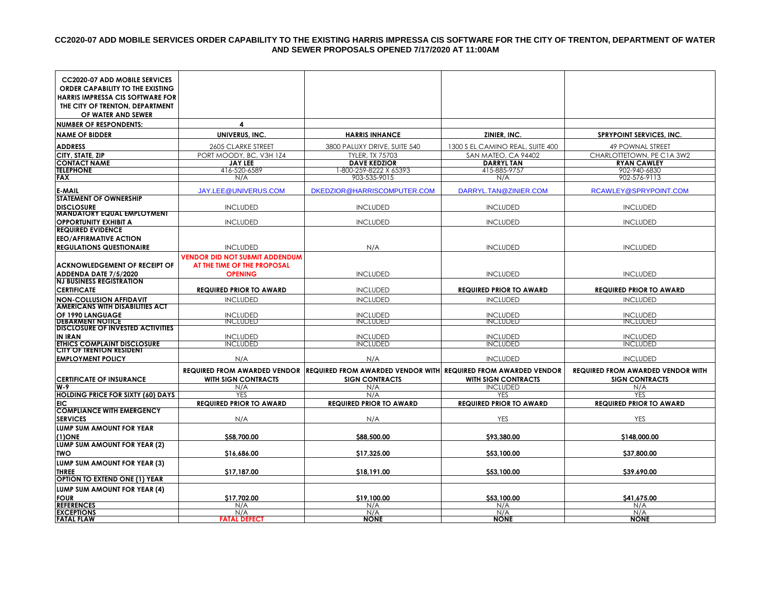### **CC2020-07 ADD MOBILE SERVICES ORDER CAPABILITY TO THE EXISTING HARRIS IMPRESSA CIS SOFTWARE FOR THE CITY OF TRENTON, DEPARTMENT OF WATER AND SEWER PROPOSALS OPENED 7/17/2020 AT 11:00AM**

| <b>CC2020-07 ADD MOBILE SERVICES</b>                                       |                                           |                                                                                               |                                          |                                                 |
|----------------------------------------------------------------------------|-------------------------------------------|-----------------------------------------------------------------------------------------------|------------------------------------------|-------------------------------------------------|
| ORDER CAPABILITY TO THE EXISTING                                           |                                           |                                                                                               |                                          |                                                 |
| <b>HARRIS IMPRESSA CIS SOFTWARE FOR</b><br>THE CITY OF TRENTON, DEPARTMENT |                                           |                                                                                               |                                          |                                                 |
| OF WATER AND SEWER                                                         |                                           |                                                                                               |                                          |                                                 |
| <b>NUMBER OF RESPONDENTS:</b>                                              | 4                                         |                                                                                               |                                          |                                                 |
| <b>NAME OF BIDDER</b>                                                      | UNIVERUS, INC.                            | <b>HARRIS INHANCE</b>                                                                         | ZINIER, INC.                             | <b>SPRYPOINT SERVICES, INC.</b>                 |
|                                                                            |                                           |                                                                                               |                                          |                                                 |
| <b>ADDRESS</b>                                                             | 2605 CLARKE STREET                        | 3800 PALUXY DRIVE, SUITE 540                                                                  | 1300 S EL CAMINO REAL, SUITE 400         | 49 POWNAL STREET                                |
| CITY, STATE, ZIP<br><b>CONTACT NAME</b>                                    | PORT MOODY, BC, V3H 1Z4<br><b>JAY LEE</b> | <b>TYLER, TX 75703</b><br><b>DAVE KEDZIOR</b>                                                 | SAN MATEO, CA 94402<br><b>DARRYL TAN</b> | CHARLOTTETOWN, PE C1A 3W2<br><b>RYAN CAWLEY</b> |
| <b>TELEPHONE</b>                                                           | 416-520-6589                              | 1-800-259-8222 X 65393                                                                        | 415-885-9757                             | 902-940-6830                                    |
| <b>FAX</b>                                                                 | N/A                                       | 903-535-9015                                                                                  | N/A                                      | 902-576-9113                                    |
| <b>E-MAIL</b>                                                              | <b>JAY.LEE@UNIVERUS.COM</b>               | DKEDZIOR@HARRISCOMPUTER.COM                                                                   | DARRYL.TAN@ZINIER.COM                    | RCAWLEY@SPRYPOINT.COM                           |
| <b>STATEMENT OF OWNERSHIP</b>                                              |                                           |                                                                                               |                                          |                                                 |
| <b>DISCLOSURE</b>                                                          | <b>INCLUDED</b>                           | <b>INCLUDED</b>                                                                               | <b>INCLUDED</b>                          | <b>INCLUDED</b>                                 |
| <b>MANDATORY EQUAL EMPLOYMENT</b>                                          |                                           |                                                                                               |                                          |                                                 |
| <b>OPPORTUNITY EXHIBIT A</b><br><b>REQUIRED EVIDENCE</b>                   | <b>INCLUDED</b>                           | <b>INCLUDED</b>                                                                               | <b>INCLUDED</b>                          | <b>INCLUDED</b>                                 |
| <b>EEO/AFFIRMATIVE ACTION</b>                                              |                                           |                                                                                               |                                          |                                                 |
| <b>REGULATIONS QUESTIONAIRE</b>                                            | <b>INCLUDED</b>                           | N/A                                                                                           | <b>INCLUDED</b>                          | <b>INCLUDED</b>                                 |
|                                                                            | <b>VENDOR DID NOT SUBMIT ADDENDUM</b>     |                                                                                               |                                          |                                                 |
| <b>ACKNOWLEDGEMENT OF RECEIPT OF</b>                                       | AT THE TIME OF THE PROPOSAL               |                                                                                               |                                          |                                                 |
| ADDENDA DATE 7/5/2020                                                      | <b>OPENING</b>                            | <b>INCLUDED</b>                                                                               | <b>INCLUDED</b>                          | <b>INCLUDED</b>                                 |
| <b>NJ BUSINESS REGISTRATION</b>                                            |                                           |                                                                                               |                                          |                                                 |
| <b>CERTIFICATE</b>                                                         | <b>REQUIRED PRIOR TO AWARD</b>            | <b>INCLUDED</b>                                                                               | <b>REQUIRED PRIOR TO AWARD</b>           | <b>REQUIRED PRIOR TO AWARD</b>                  |
| <b>NON-COLLUSION AFFIDAVIT</b>                                             | <b>INCLUDED</b>                           | <b>INCLUDED</b>                                                                               | <b>INCLUDED</b>                          | <b>INCLUDED</b>                                 |
| <b>AMERICANS WITH DISABILITIES ACT</b>                                     |                                           |                                                                                               |                                          |                                                 |
| OF 1990 LANGUAGE<br><b>DEBARMENT NOTICE</b>                                | <b>INCLUDED</b><br><b>INCLUDED</b>        | <b>INCLUDED</b><br><b>INCLUDED</b>                                                            | <b>INCLUDED</b><br>INCLUDED              | <b>INCLUDED</b><br>INCLUDED                     |
| <b>DISCLOSURE OF INVESTED ACTIVITIES</b>                                   |                                           |                                                                                               |                                          |                                                 |
| <b>IN IRAN</b>                                                             | <b>INCLUDED</b>                           | <b>INCLUDED</b>                                                                               | <b>INCLUDED</b>                          | <b>INCLUDED</b>                                 |
| <b>ETHICS COMPLAINT DISCLOSURE</b><br><b>CITY OF TRENTON RESIDENT</b>      | <b>INCLUDED</b>                           | <b>INCLUDED</b>                                                                               | <b>INCLUDED</b>                          | <b>INCLUDED</b>                                 |
| <b>EMPLOYMENT POLICY</b>                                                   | N/A                                       | N/A                                                                                           | <b>INCLUDED</b>                          | <b>INCLUDED</b>                                 |
|                                                                            |                                           | REQUIRED FROM AWARDED VENDOR IREQUIRED FROM AWARDED VENDOR WITHI REQUIRED FROM AWARDED VENDOR |                                          | <b>REQUIRED FROM AWARDED VENDOR WITH</b>        |
| <b>CERTIFICATE OF INSURANCE</b>                                            | <b>WITH SIGN CONTRACTS</b>                | <b>SIGN CONTRACTS</b>                                                                         | <b>WITH SIGN CONTRACTS</b>               | <b>SIGN CONTRACTS</b>                           |
| $W-9$                                                                      | N/A                                       | N/A                                                                                           | <b>INCLUDED</b>                          | N/A                                             |
| <b>HOLDING PRICE FOR SIXTY (60) DAYS</b>                                   | <b>YES</b>                                | N/A                                                                                           | <b>YES</b>                               | <b>YES</b>                                      |
| <b>EIC</b>                                                                 | <b>REQUIRED PRIOR TO AWARD</b>            | <b>REQUIRED PRIOR TO AWARD</b>                                                                | <b>REQUIRED PRIOR TO AWARD</b>           | <b>REQUIRED PRIOR TO AWARD</b>                  |
| <b>COMPLIANCE WITH EMERGENCY</b>                                           |                                           |                                                                                               |                                          |                                                 |
| <b>SERVICES</b><br>LUMP SUM AMOUNT FOR YEAR                                | N/A                                       | N/A                                                                                           | <b>YES</b>                               | <b>YES</b>                                      |
| $(1)$ ONE                                                                  | \$58,700.00                               | \$88,500.00                                                                                   | \$93,380.00                              | \$148,000.00                                    |
| LUMP SUM AMOUNT FOR YEAR (2)                                               |                                           |                                                                                               |                                          |                                                 |
| <b>TWO</b>                                                                 | \$16,686.00                               | \$17,325.00                                                                                   | \$53,100.00                              | \$37,800.00                                     |
| LUMP SUM AMOUNT FOR YEAR (3)                                               |                                           |                                                                                               |                                          |                                                 |
| <b>THREE</b>                                                               | \$17,187.00                               | \$18,191.00                                                                                   | \$53,100.00                              | \$39.690.00                                     |
| <b>OPTION TO EXTEND ONE (1) YEAR</b>                                       |                                           |                                                                                               |                                          |                                                 |
| LUMP SUM AMOUNT FOR YEAR (4)                                               |                                           |                                                                                               |                                          |                                                 |
| <b>FOUR</b>                                                                | \$17,702.00                               | \$19,100.00                                                                                   | \$53,100.00                              | \$41,675.00                                     |
| <b>REFERENCES</b><br><b>EXCEPTIONS</b>                                     | N/A<br>N/A                                | N/A<br>N/A                                                                                    | N/A<br>N/A                               | N/A<br>N/A                                      |
| <b>FATAL FLAW</b>                                                          | <b>FATAL DEFECT</b>                       | <b>NONE</b>                                                                                   | <b>NONE</b>                              | <b>NONE</b>                                     |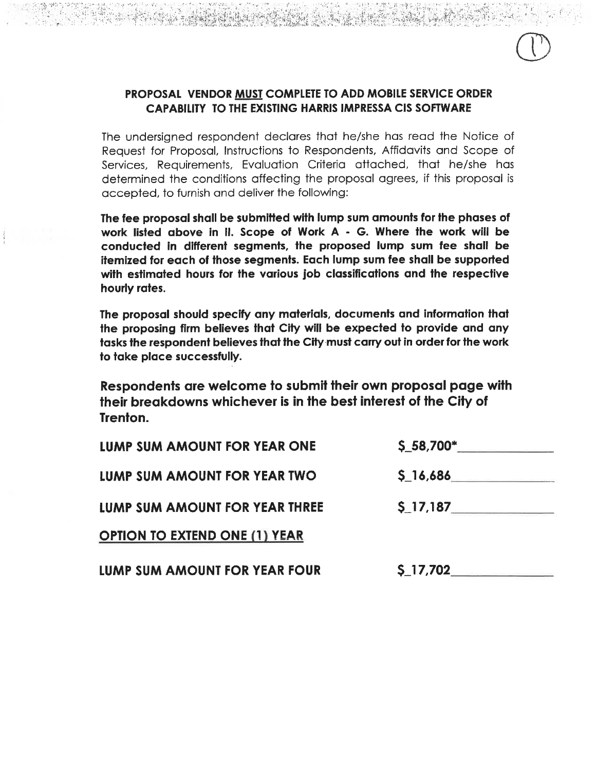### PROPOSAL VENDOR MUST COMPLETE TO ADD MOBILE SERVICE ORDER CAPABILITY TO THE EXISTING HARRIS IMPRESSA CIS SOFTWARE

The undersigned respondent declares that he/she has read the Notice of Request for Proposal, Instructions to Respondents, Affidavits and Scope of Services, Requirements, Evaluation Criteria attached, that he/she has determined the conditions affecting the proposal agrees, if this proposal is accepted, to furnish and deliver the following:

The fee proposal shall be submitted with lump sum amounts for the phases of work listed above in II. Scope of Work A - G. Where the work will be conducted in different segments, the proposed lump sum fee shall be itemized for each of those segments. Each lump sum fee shall be supported with estimated hours for the various job classifications and the respective hourly rates.

The proposal should specify any materials, documents and information that the proposing firm believes that City will be expected to provide and any tasks the respondent believes that the City must carry out in order for the work to take place successfully.

Respondents are welcome to submit their own proposal page with their breakdowns whichever is in the best interest of the City of Trenton.

| LUMP SUM AMOUNT FOR YEAR ONE         | $$.58,700$ * |
|--------------------------------------|--------------|
| LUMP SUM AMOUNT FOR YEAR TWO         | \$16,686     |
| LUMP SUM AMOUNT FOR YEAR THREE       |              |
| <b>OPTION TO EXTEND ONE (1) YEAR</b> |              |
| LUMP SUM AMOUNT FOR YEAR FOUR        | \$ 17,702    |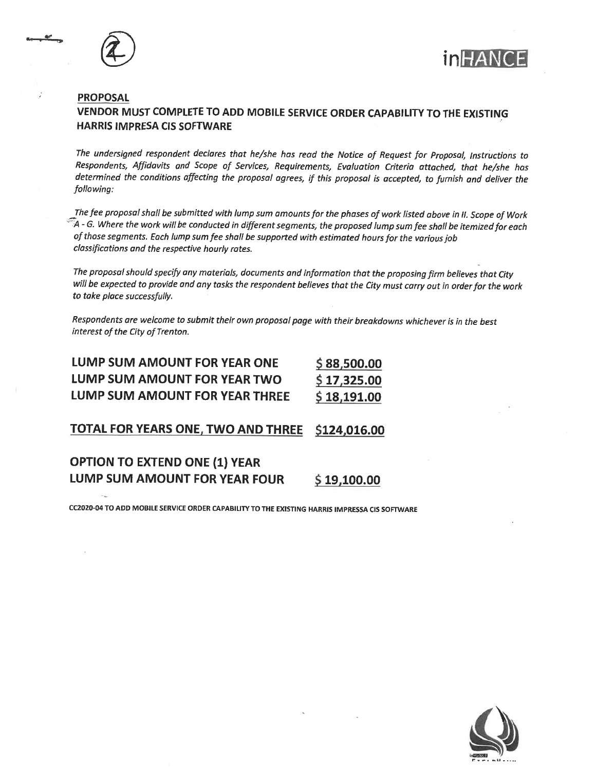





### **PROPOSAL**

### VENDOR MUST COMPLETE TO ADD MOBILE SERVICE ORDER CAPABILITY TO THE EXISTING **HARRIS IMPRESA CIS SOFTWARE**

The undersigned respondent declares that he/she has read the Notice of Request for Proposal, Instructions to Respondents, Affidavits and Scope of Services, Requirements, Evaluation Criteria attached, that he/she has determined the conditions affecting the proposal agrees, if this proposal is accepted, to furnish and deliver the following:

The fee proposal shall be submitted with lump sum amounts for the phases of work listed above in II. Scope of Work  $\widetilde{\mathbb{Z}}$ 4 - G. Where the work will be conducted in different segments, the proposed lump sum fee shall be itemized for each of those segments. Each lump sum fee shall be supported with estimated hours for the various job classifications and the respective hourly rates.

The proposal should specify any materials, documents and information that the proposing firm believes that City will be expected to provide and any tasks the respondent believes that the City must carry out in order for the work to take place successfully.

Respondents are welcome to submit their own proposal page with their breakdowns whichever is in the best interest of the City of Trenton.

| LUMP SUM AMOUNT FOR YEAR ONE   | \$88,500.00 |
|--------------------------------|-------------|
| LUMP SUM AMOUNT FOR YEAR TWO   | \$17,325.00 |
| LUMP SUM AMOUNT FOR YEAR THREE | \$18,191.00 |

**TOTAL FOR YEARS ONE, TWO AND THREE** \$124,016.00

### **OPTION TO EXTEND ONE (1) YEAR LUMP SUM AMOUNT FOR YEAR FOUR** \$19,100.00

CC2020-04 TO ADD MOBILE SERVICE ORDER CAPABILITY TO THE EXISTING HARRIS IMPRESSA CIS SOFTWARE

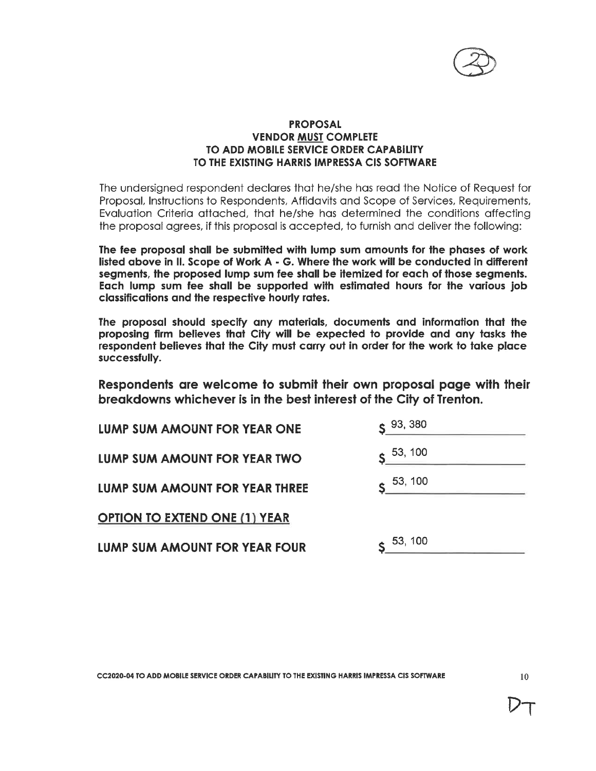

### **PROPOSAL VENDOR MUST COMPLETE** TO ADD MOBILE SERVICE ORDER CAPABILITY TO THE EXISTING HARRIS IMPRESSA CIS SOFTWARE

The undersigned respondent declares that he/she has read the Notice of Request for Proposal, Instructions to Respondents, Affidavits and Scope of Services, Requirements, Evaluation Criteria attached, that he/she has determined the conditions affecting the proposal garees, if this proposal is accepted, to furnish and deliver the following:

The fee proposal shall be submitted with lump sum amounts for the phases of work listed above in II. Scope of Work A - G. Where the work will be conducted in different segments, the proposed lump sum fee shall be itemized for each of those segments. Each lump sum fee shall be supported with estimated hours for the various job classifications and the respective hourly rates.

The proposal should specify any materials, documents and information that the proposing firm believes that City will be expected to provide and any tasks the respondent believes that the City must carry out in order for the work to take place successfully.

Respondents are welcome to submit their own proposal page with their breakdowns whichever is in the best interest of the City of Trenton.

| LUMP SUM AMOUNT FOR YEAR ONE         | S <sup>93, 380</sup> |
|--------------------------------------|----------------------|
| LUMP SUM AMOUNT FOR YEAR TWO         | $S = \frac{53}{100}$ |
| LUMP SUM AMOUNT FOR YEAR THREE       | $\epsilon$ 53, 100   |
| <b>OPTION TO EXTEND ONE (1) YEAR</b> |                      |
| LUMP SUM AMOUNT FOR YEAR FOUR        | 53, 100              |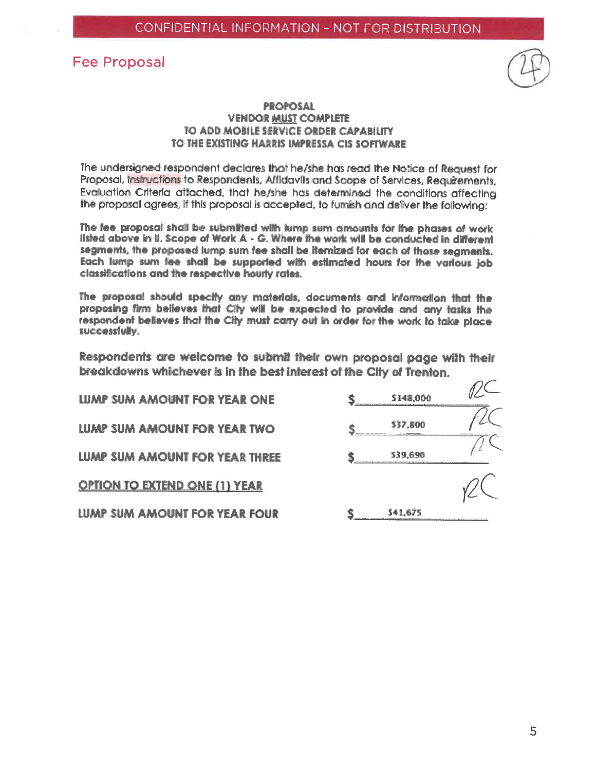### **Fee Proposal**



 $\Omega$ 

### **PROPOSAL VENDOR MUST COMPLETE** TO ADD MOBILE SERVICE ORDER CAPABILITY TO THE EXISTING HARRIS IMPRESSA CIS SOFTWARE

The undersigned respondent declares that he/she has read the Notice of Request for Proposal, Instructions to Respondents, Affidavits and Scope of Services, Requirements. Evaluation Criteria attached, that he/she has determined the conditions affecting the proposal agrees, if this proposal is accepted, to furnish and deliver the following:

The fee proposal shall be submitted with lump sum amounts for the phases of work listed above in il. Scope of Work A - G. Where the work will be conducted in different segments, the proposed lump sum fee shall be itemized for each of those segments. Each lump sum tee shall be supported with estimated hours for the various job classifications and the respective hourly rates.

The proposal should specify any materials, documents and information that the proposing firm believes that City will be expected to provide and any tasks the respondent believes that the City must carry out in order for the work to take place successfully.

Respondents are welcome to submit their own proposal page with their breakdowns whichever is in the best interest of the City of Trenton.

| LUMP SUM AMOUNT FOR YEAR ONE         | 5148,000 |  |
|--------------------------------------|----------|--|
| LUMP SUM AMOUNT FOR YEAR TWO         | 537,800  |  |
| LUMP SUM AMOUNT FOR YEAR THREE       | \$39.690 |  |
| <b>OPTION TO EXTEND ONE (1) YEAR</b> |          |  |
| LUMP SUM AMOUNT FOR YEAR FOUR        | 541.675  |  |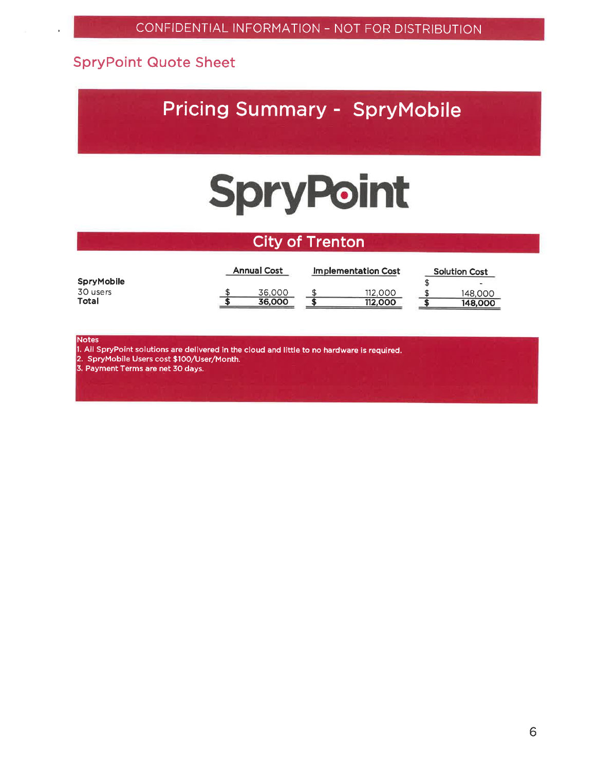### **SpryPoint Quote Sheet**

### **Pricing Summary - SpryMobile**

## **SpryPoint**

### **City of Trenton**

|            | <b>Annual Cost</b> | Implementation Cost | <b>Solution Cost</b> |
|------------|--------------------|---------------------|----------------------|
| SpryMobile |                    |                     | $\sim$               |
| 30 users   | 36,000             | 112.000             | 148,000              |
| Total      | 36,000             | 112,000             | 148.000              |

**Notes** 

1. All SpryPoint solutions are delivered in the cloud and little to no hardware is required.

2. SpryMobile Users cost \$100/User/Month.<br>3. Payment Terms are net 30 days.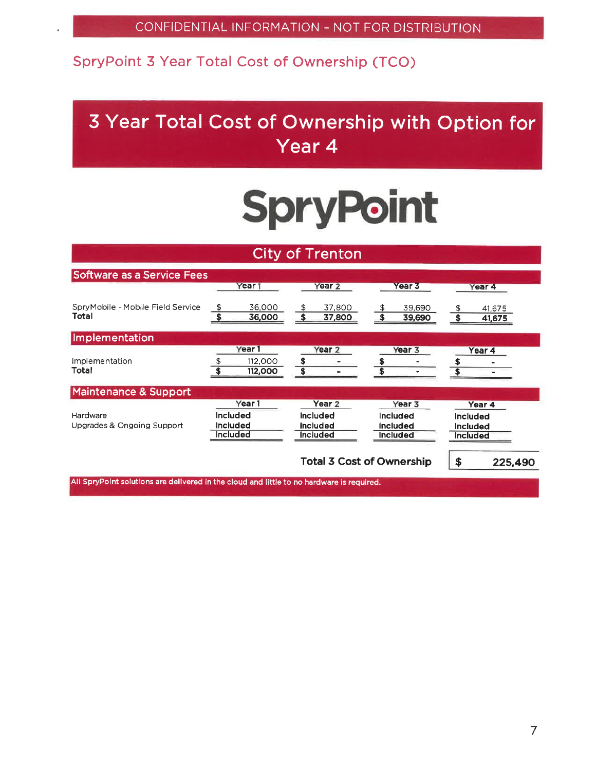### SpryPoint 3 Year Total Cost of Ownership (TCO)

### 3 Year Total Cost of Ownership with Option for Year 4

# **SpryPoint**

|                                                                                          |                                                       |                    |         | <b>City of Trenton</b>                                              |                                                          |                                                |                  |
|------------------------------------------------------------------------------------------|-------------------------------------------------------|--------------------|---------|---------------------------------------------------------------------|----------------------------------------------------------|------------------------------------------------|------------------|
| <b>Software as a Service Fees</b>                                                        | Year <sub>1</sub>                                     |                    |         | Year <sub>2</sub>                                                   | Year 3                                                   |                                                | Year 4           |
| SpryMobile - Mobile Field Service<br>Total                                               | \$                                                    | 36,000<br>36,000   | \$      | 37,800<br>37,800                                                    | 39,690<br>39,690                                         |                                                | 41.675<br>41,675 |
| Implementation                                                                           |                                                       |                    |         |                                                                     |                                                          |                                                |                  |
| Implementation<br>Total                                                                  | Year <sub>1</sub>                                     | 112,000<br>112,000 | \$<br>S | Year <sub>2</sub>                                                   | Year <sub>3</sub>                                        |                                                | Year 4           |
| <b>Maintenance &amp; Support</b>                                                         |                                                       |                    |         |                                                                     |                                                          |                                                |                  |
| Hardware<br>Upgrades & Ongoing Support                                                   | Year <sub>1</sub><br>Included<br>Included<br>Included |                    |         | Year <sub>2</sub><br><b>Included</b><br><b>Included</b><br>Included | Year 3<br>Included<br><b>Included</b><br><b>Included</b> | Included<br><b>Included</b><br><b>Included</b> | Year 4           |
| All SpryPoint solutions are delivered in the cloud and little to no bardware is required |                                                       |                    |         | <b>Total 3 Cost of Ownership</b>                                    |                                                          | \$                                             | 225,490          |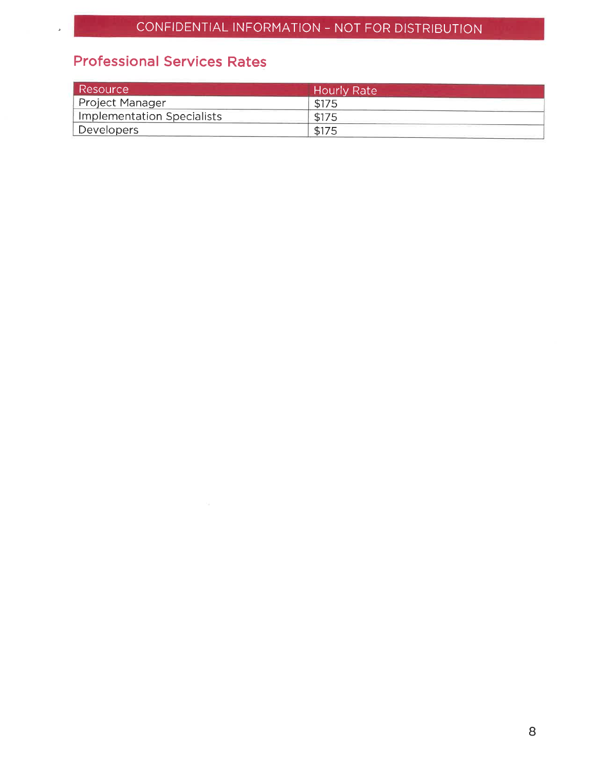### **Professional Services Rates**

 $\lambda$ 

| <b>Resource</b>            | <b>Hourly Rate</b> |  |
|----------------------------|--------------------|--|
| <b>Project Manager</b>     | \$175              |  |
| Implementation Specialists |                    |  |
| Developers                 | \$175              |  |